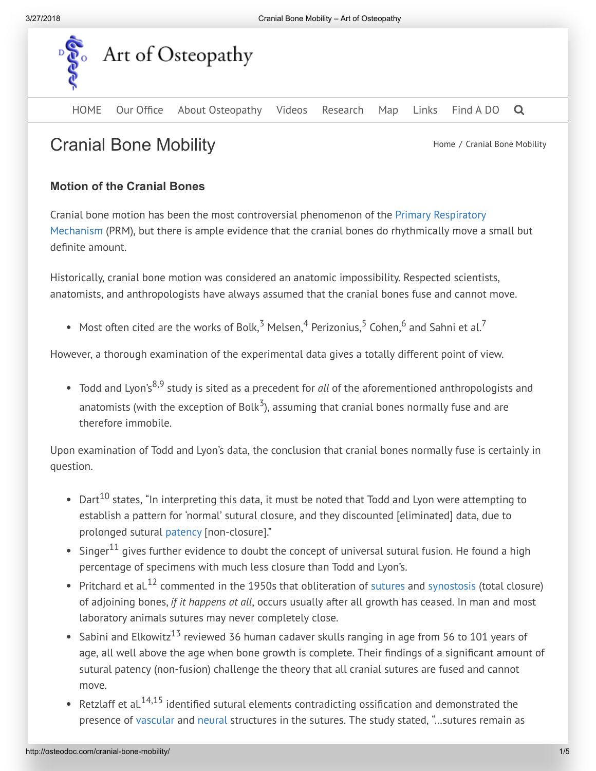

[HOME](http://osteodoc.com/) Our Office About [Osteopathy](https://osteodoc.com/about-osteopathy/) [Videos](https://osteodoc.com/videos/) [Research](https://osteodoc.com/research/) [Map](https://osteodoc.com/map/) [Links](https://osteodoc.com/links/) [Find](https://osteodoc.com/find/) A DO Q

# Cranial Bone Mobility **Cranial Bone Mobility Cranial Bone Mobility**

# Motion of the Cranial Bones

Cranial bone motion has been the most controversial [phenomenon](http://osteodoc.com/cranial-osteopathy/#PRM) of the Primary Respiratory Mechanism (PRM), but there is ample evidence that the cranial bones do rhythmically move a small but definite amount.

Historically, cranial bone motion was considered an anatomic impossibility. Respected scientists, anatomists, and anthropologists have always assumed that the cranial bones fuse and cannot move.

Most often cited are the works of Bolk, $^3$  Melsen, $^4$  Perizonius, $^5$  Cohen, $^6$  and Sahni et al. $^7$ 

However, a thorough examination of the experimental data gives a totally different point of view.

Todd and Lyon's<sup>8,9</sup> study is sited as a precedent for *all* of the aforementioned anthropologists and anatomists (with the exception of Bolk $^3$ ), assuming that cranial bones normally fuse and are therefore immobile.

Upon examination of Todd and Lyon's data, the conclusion that cranial bones normally fuse is certainly in question.

- Dart<sup>10</sup> states, "In interpreting this data, it must be noted that Todd and Lyon were attempting to establish a pattern for 'normal' sutural closure, and they discounted [eliminated] data, due to prolonged sutural [patency](http://osteodoc.com/glossary/#patency) [non-closure]."
- Singer $^{11}$  gives further evidence to doubt the concept of universal sutural fusion. He found a high percentage of specimens with much less closure than Todd and Lyon's.
- Pritchard et al. $^{12}$  commented in the 1950s that obliteration of [sutures](http://osteodoc.com/glossary/#sutures) and [synostosis](http://osteodoc.com/glossary/#synostosis) (total closure) of adjoining bones, if it happens at all, occurs usually after all growth has ceased. In man and most laboratory animals sutures may never completely close.
- Sabini and Elkowitz $^{13}$  reviewed 36 human cadaver skulls ranging in age from 56 to 101 years of age, all well above the age when bone growth is complete. Their findings of a significant amount of sutural patency (non-fusion) challenge the theory that all cranial sutures are fused and cannot move.
- Retzlaff et al.<sup>14,15</sup> identified sutural elements contradicting ossification and demonstrated the presence of [vascular](http://osteodoc.com/glossary/#vascular) and [neural](http://osteodoc.com/glossary/#neural) structures in the sutures. The study stated, "…sutures remain as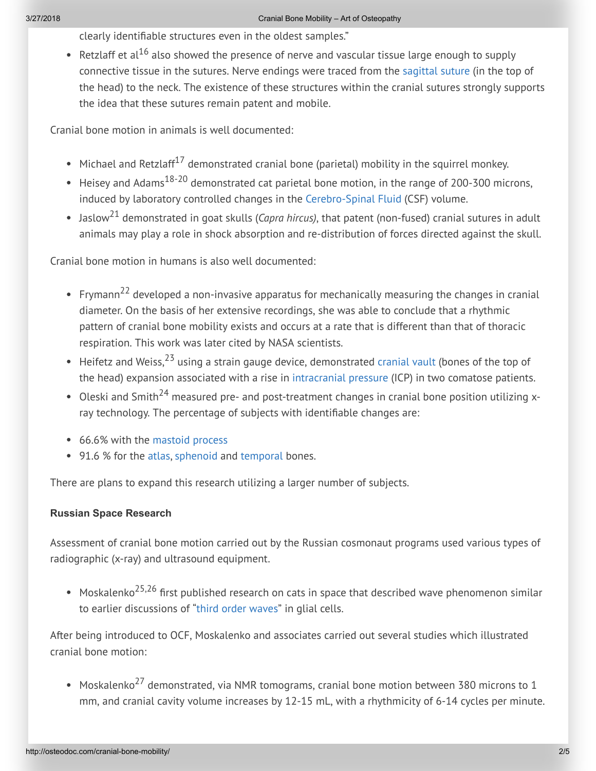clearly identiãable structures even in the oldest samples."

Retzlaff et al<sup>16</sup> also showed the presence of nerve and vascular tissue large enough to supply connective tissue in the sutures. Nerve endings were traced from the [sagittal](http://osteodoc.com/glossary/#sagittal) suture (in the top of the head) to the neck. The existence of these structures within the cranial sutures strongly supports the idea that these sutures remain patent and mobile.

Cranial bone motion in animals is well documented:

- Michael and Retzlaff<sup>17</sup> demonstrated cranial bone (parietal) mobility in the squirrel monkey.
- Heisey and Adams<sup>18-20</sup> demonstrated cat parietal bone motion, in the range of 200-300 microns, induced by laboratory controlled changes in the [Cerebro-Spinal](http://osteodoc.com/glossary/#csf) Fluid (CSF) volume.
- Jaslow<sup>21</sup> demonstrated in goat skulls (*Capra hircus)*, that patent (non-fused) cranial sutures in adult animals may play a role in shock absorption and re-distribution of forces directed against the skull.

Cranial bone motion in humans is also well documented:

- Frymann<sup>22</sup> developed a non-invasive apparatus for mechanically measuring the changes in cranial diameter. On the basis of her extensive recordings, she was able to conclude that a rhythmic pattern of cranial bone mobility exists and occurs at a rate that is different than that of thoracic respiration. This work was later cited by NASA scientists.
- Heifetz and Weiss,<sup>23</sup> using a strain gauge device, demonstrated [cranial](http://osteodoc.com/glossary/#cranialvault) vault (bones of the top of the head) expansion associated with a rise in [intracranial](http://osteodoc.com/glossary/#intracranialpressure) pressure (ICP) in two comatose patients.
- Oleski and Smith<sup>24</sup> measured pre- and post-treatment changes in cranial bone position utilizing xray technology. The percentage of subjects with identifiable changes are:
- 66.6% with the [mastoid](http://osteodoc.com/glossary/#mastoid) process
- 91.6 % for the [atlas](http://osteodoc.com/glossary/l#atlas), [sphenoid](http://osteodoc.com/glossary/#sphenoid) and [temporal](http://osteodoc.com/glossary/#temporal) bones.

There are plans to expand this research utilizing a larger number of subjects.

## Russian Space Research

Assessment of cranial bone motion carried out by the Russian cosmonaut programs used various types of radiographic (x-ray) and ultrasound equipment.

Moskalenko<sup>25,26</sup> first published research on cats in space that described wave phenomenon similar to earlier discussions of "third order [waves"](http://osteodoc.com/glossary/#third) in glial cells.

After being introduced to OCF, Moskalenko and associates carried out several studies which illustrated cranial bone motion:

Moskalenko $^{27}$  demonstrated, via NMR tomograms, cranial bone motion between 380 microns to 1 mm, and cranial cavity volume increases by 12-15 mL, with a rhythmicity of 6-14 cycles per minute.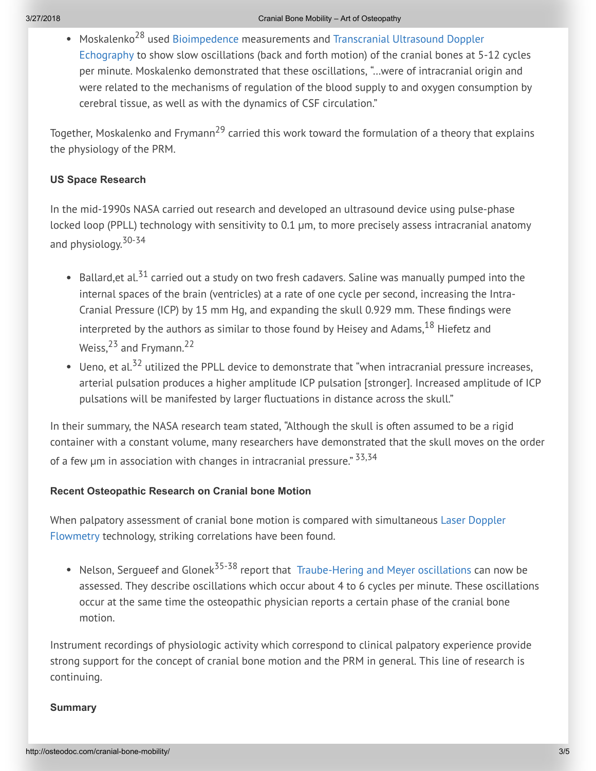Moskalenko<sup>28</sup> used [Bioimpedence](http://osteodoc.com/glossary/#bioimpedence) [measurements](http://osteodoc.com/glossary/#tude) and Transcranial Ultrasound Doppler Echography to show slow oscillations (back and forth motion) of the cranial bones at 5-12 cycles per minute. Moskalenko demonstrated that these oscillations, "…were of intracranial origin and were related to the mechanisms of regulation of the blood supply to and oxygen consumption by cerebral tissue, as well as with the dynamics of CSF circulation."

Together, Moskalenko and Frymann<sup>29</sup> carried this work toward the formulation of a theory that explains the physiology of the PRM.

### US Space Research

In the mid-1990s NASA carried out research and developed an ultrasound device using pulse-phase locked loop (PPLL) technology with sensitivity to 0.1 µm, to more precisely assess intracranial anatomy and physiology. 30-34

- Ballard,et al.<sup>31</sup> carried out a study on two fresh cadavers. Saline was manually pumped into the internal spaces of the brain (ventricles) at a rate of one cycle per second, increasing the Intra-Cranial Pressure (ICP) by 15 mm Hg, and expanding the skull 0.929 mm. These findings were interpreted by the authors as similar to those found by Heisey and Adams, $^{18}$  Hiefetz and Weiss,<sup>23</sup> and Frymann.<sup>22</sup>
- Ueno, et al.<sup>32</sup> utilized the PPLL device to demonstrate that "when intracranial pressure increases, arterial pulsation produces a higher amplitude ICP pulsation [stronger]. Increased amplitude of ICP pulsations will be manifested by larger fluctuations in distance across the skull."

In their summary, the NASA research team stated, "Although the skull is often assumed to be a rigid container with a constant volume, many researchers have demonstrated that the skull moves on the order of a few µm in association with changes in intracranial pressure." <sup>33,34</sup>

#### Recent Osteopathic Research on Cranial bone Motion

When palpatory assessment of cranial bone motion is compared with simultaneous Laser Doppler Flowmetry [technology, striking](http://osteodoc.com/glossary/#ldf) correlations have been found.

Nelson, Sergueef and Glonek<sup>35-38</sup> report that [Traube-Hering](http://osteodoc.com/glossary/#traube-hering) and Meyer oscillations can now be assessed. They describe oscillations which occur about 4 to 6 cycles per minute. These oscillations occur at the same time the osteopathic physician reports a certain phase of the cranial bone motion.

Instrument recordings of physiologic activity which correspond to clinical palpatory experience provide strong support for the concept of cranial bone motion and the PRM in general. This line of research is continuing.

#### **Summary**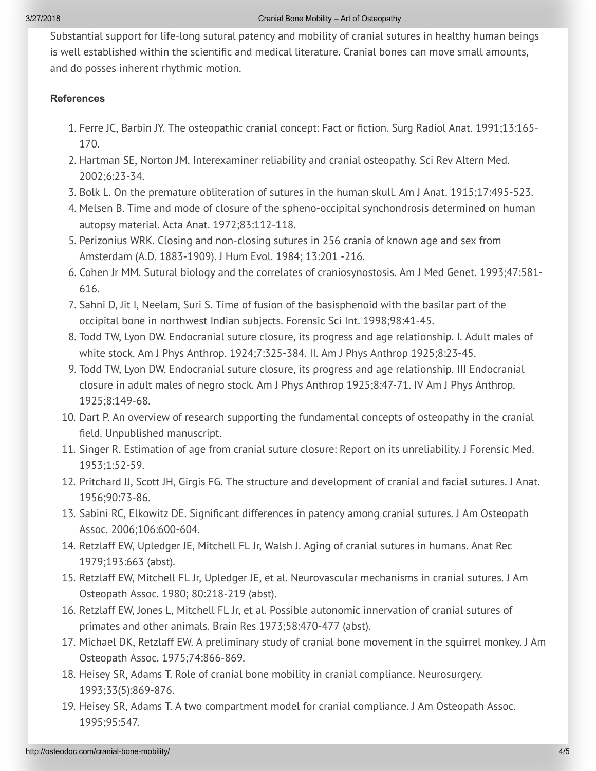Substantial support for life-long sutural patency and mobility of cranial sutures in healthy human beings is well established within the scientific and medical literature. Cranial bones can move small amounts, and do posses inherent rhythmic motion.

#### **References**

- 1. Ferre JC, Barbin JY. The osteopathic cranial concept: Fact or fiction. Surg Radiol Anat. 1991;13:165-170.
- 2. Hartman SE, Norton JM. Interexaminer reliability and cranial osteopathy. Sci Rev Altern Med. 2002;6:23-34.
- 3. Bolk L. On the premature obliteration of sutures in the human skull. Am J Anat. 1915;17:495-523.
- 4. Melsen B. Time and mode of closure of the spheno-occipital synchondrosis determined on human autopsy material. Acta Anat. 1972;83:112-118.
- 5. Perizonius WRK. Closing and non-closing sutures in 256 crania of known age and sex from Amsterdam (A.D. 1883-1909). J Hum Evol. 1984; 13:201 -216.
- 6. Cohen Jr MM. Sutural biology and the correlates of craniosynostosis. Am J Med Genet. 1993;47:581- 616.
- 7. Sahni D, Jit I, Neelam, Suri S. Time of fusion of the basisphenoid with the basilar part of the occipital bone in northwest Indian subjects. Forensic Sci Int. 1998;98:41-45.
- 8. Todd TW, Lyon DW. Endocranial suture closure, its progress and age relationship. I. Adult males of white stock. Am J Phys Anthrop. 1924;7:325-384. II. Am J Phys Anthrop 1925;8:23-45.
- 9. Todd TW, Lyon DW. Endocranial suture closure, its progress and age relationship. III Endocranial closure in adult males of negro stock. Am J Phys Anthrop 1925;8:47-71. IV Am J Phys Anthrop. 1925;8:149-68.
- 10. Dart P. An overview of research supporting the fundamental concepts of osteopathy in the cranial field. Unpublished manuscript.
- 11. Singer R. Estimation of age from cranial suture closure: Report on its unreliability. J Forensic Med. 1953;1:52-59.
- 12. Pritchard JJ, Scott JH, Girgis FG. The structure and development of cranial and facial sutures. J Anat. 1956;90:73-86.
- 13. Sabini RC, Elkowitz DE. Significant differences in patency among cranial sutures. J Am Osteopath Assoc. 2006;106:600-604.
- 14. Retzlaff EW, Upledger JE, Mitchell FL Jr, Walsh J. Aging of cranial sutures in humans. Anat Rec 1979;193:663 (abst).
- 15. Retzlaff EW, Mitchell FL Jr, Upledger JE, et al. Neurovascular mechanisms in cranial sutures. J Am Osteopath Assoc. 1980; 80:218-219 (abst).
- 16. Retzlaff EW, Jones L, Mitchell FL Jr, et al. Possible autonomic innervation of cranial sutures of primates and other animals. Brain Res 1973;58:470-477 (abst).
- 17. Michael DK, Retzlaff EW. A preliminary study of cranial bone movement in the squirrel monkey. J Am Osteopath Assoc. 1975;74:866-869.
- 18. Heisey SR, Adams T. Role of cranial bone mobility in cranial compliance. Neurosurgery. 1993;33(5):869-876.
- 19. Heisey SR, Adams T. A two compartment model for cranial compliance. J Am Osteopath Assoc. 1995;95:547.